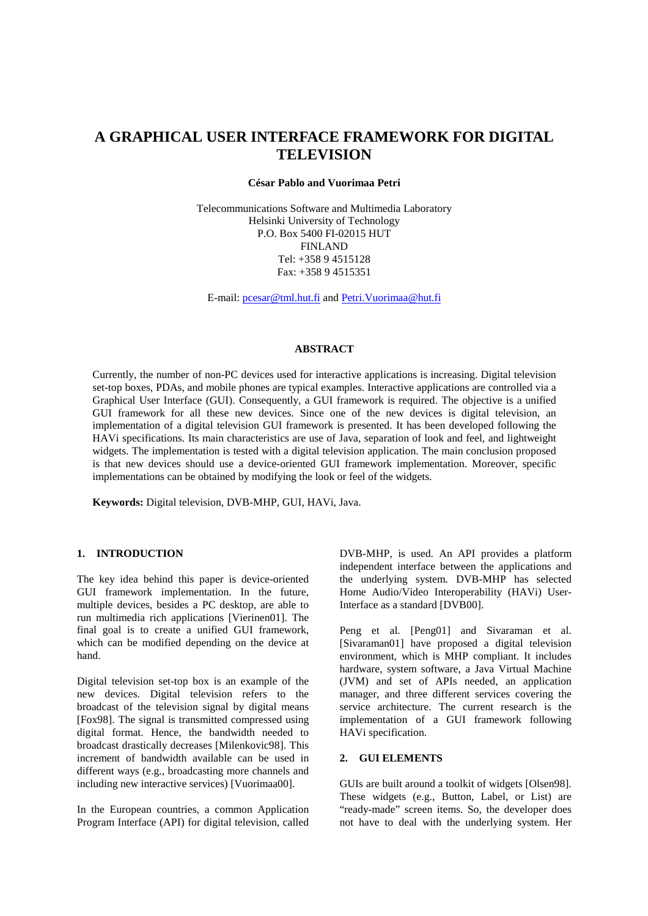# **A GRAPHICAL USER INTERFACE FRAMEWORK FOR DIGITAL TELEVISION**

#### **César Pablo and Vuorimaa Petri**

Telecommunications Software and Multimedia Laboratory Helsinki University of Technology P.O. Box 5400 FI-02015 HUT FINLAND Tel: +358 9 4515128 Fax: +358 9 4515351

E-mail: pcesar@tml.hut.fi and Petri.Vuorimaa@hut.fi

#### **ABSTRACT**

Currently, the number of non-PC devices used for interactive applications is increasing. Digital television set-top boxes, PDAs, and mobile phones are typical examples. Interactive applications are controlled via a Graphical User Interface (GUI). Consequently, a GUI framework is required. The objective is a unified GUI framework for all these new devices. Since one of the new devices is digital television, an implementation of a digital television GUI framework is presented. It has been developed following the HAVi specifications. Its main characteristics are use of Java, separation of look and feel, and lightweight widgets. The implementation is tested with a digital television application. The main conclusion proposed is that new devices should use a device-oriented GUI framework implementation. Moreover, specific implementations can be obtained by modifying the look or feel of the widgets.

**Keywords:** Digital television, DVB-MHP, GUI, HAVi, Java.

# **1. INTRODUCTION**

The key idea behind this paper is device-oriented GUI framework implementation. In the future, multiple devices, besides a PC desktop, are able to run multimedia rich applications [Vierinen01]. The final goal is to create a unified GUI framework, which can be modified depending on the device at hand.

Digital television set-top box is an example of the new devices. Digital television refers to the broadcast of the television signal by digital means [Fox98]. The signal is transmitted compressed using digital format. Hence, the bandwidth needed to broadcast drastically decreases [Milenkovic98]. This increment of bandwidth available can be used in different ways (e.g., broadcasting more channels and including new interactive services) [Vuorimaa00].

In the European countries, a common Application Program Interface (API) for digital television, called DVB-MHP, is used. An API provides a platform independent interface between the applications and the underlying system. DVB-MHP has selected Home Audio/Video Interoperability (HAVi) User-Interface as a standard [DVB00].

Peng et al. [Peng01] and Sivaraman et al. [Sivaraman01] have proposed a digital television environment, which is MHP compliant. It includes hardware, system software, a Java Virtual Machine (JVM) and set of APIs needed, an application manager, and three different services covering the service architecture. The current research is the implementation of a GUI framework following HAVi specification.

#### **2. GUI ELEMENTS**

GUIs are built around a toolkit of widgets [Olsen98]. These widgets (e.g., Button, Label, or List) are "ready-made" screen items. So, the developer does not have to deal with the underlying system. Her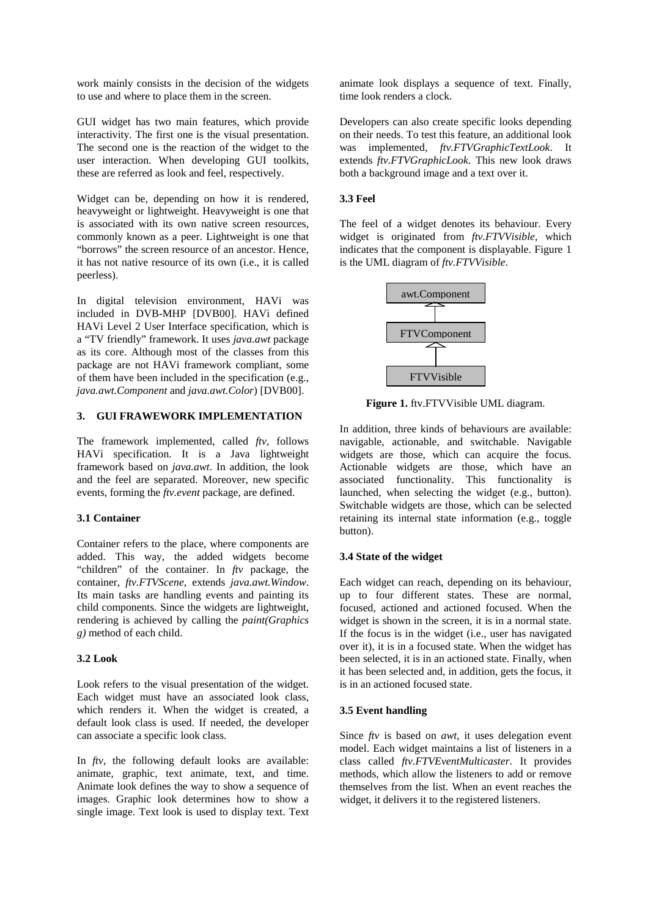work mainly consists in the decision of the widgets to use and where to place them in the screen.

GUI widget has two main features, which provide interactivity. The first one is the visual presentation. The second one is the reaction of the widget to the user interaction. When developing GUI toolkits, these are referred as look and feel, respectively.

Widget can be, depending on how it is rendered, heavyweight or lightweight. Heavyweight is one that is associated with its own native screen resources, commonly known as a peer. Lightweight is one that "borrows" the screen resource of an ancestor. Hence, it has not native resource of its own (i.e., it is called peerless).

In digital television environment, HAVi was included in DVB-MHP [DVB00]. HAVi defined HAVi Level 2 User Interface specification, which is a "TV friendly" framework. It uses *java.awt* package as its core. Although most of the classes from this package are not HAVi framework compliant, some of them have been included in the specification (e.g., *java.awt.Component* and *java.awt.Color*) [DVB00].

# **3. GUI FRAWEWORK IMPLEMENTATION**

The framework implemented, called *ftv*, follows HAVi specification. It is a Java lightweight framework based on *java.awt*. In addition, the look and the feel are separated. Moreover, new specific events, forming the *ftv.event* package, are defined.

# **3.1 Container**

Container refers to the place, where components are added. This way, the added widgets become "children" of the container. In *ftv* package, the container, *ftv.FTVScene*, extends *java.awt.Window*. Its main tasks are handling events and painting its child components. Since the widgets are lightweight, rendering is achieved by calling the *paint(Graphics g)* method of each child.

#### **3.2 Look**

Look refers to the visual presentation of the widget. Each widget must have an associated look class, which renders it. When the widget is created, a default look class is used. If needed, the developer can associate a specific look class.

In *ftv*, the following default looks are available: animate, graphic, text animate, text, and time. Animate look defines the way to show a sequence of images. Graphic look determines how to show a single image. Text look is used to display text. Text animate look displays a sequence of text. Finally, time look renders a clock.

Developers can also create specific looks depending on their needs. To test this feature, an additional look was implemented, *ftv.FTVGraphicTextLook*. It extends *ftv.FTVGraphicLook*. This new look draws both a background image and a text over it.

# **3.3 Feel**

The feel of a widget denotes its behaviour. Every widget is originated from *ftv.FTVVisible*, which indicates that the component is displayable. Figure 1 is the UML diagram of *ftv.FTVVisible*.



**Figure 1.** ftv.FTVVisible UML diagram.

In addition, three kinds of behaviours are available: navigable, actionable, and switchable. Navigable widgets are those, which can acquire the focus. Actionable widgets are those, which have an associated functionality. This functionality is launched, when selecting the widget (e.g., button). Switchable widgets are those, which can be selected retaining its internal state information (e.g., toggle button).

# **3.4 State of the widget**

Each widget can reach, depending on its behaviour, up to four different states. These are normal, focused, actioned and actioned focused. When the widget is shown in the screen, it is in a normal state. If the focus is in the widget (i.e., user has navigated over it), it is in a focused state. When the widget has been selected, it is in an actioned state. Finally, when it has been selected and, in addition, gets the focus, it is in an actioned focused state.

# **3.5 Event handling**

Since *ftv* is based on *awt*, it uses delegation event model. Each widget maintains a list of listeners in a class called *ftv.FTVEventMulticaster*. It provides methods, which allow the listeners to add or remove themselves from the list. When an event reaches the widget, it delivers it to the registered listeners.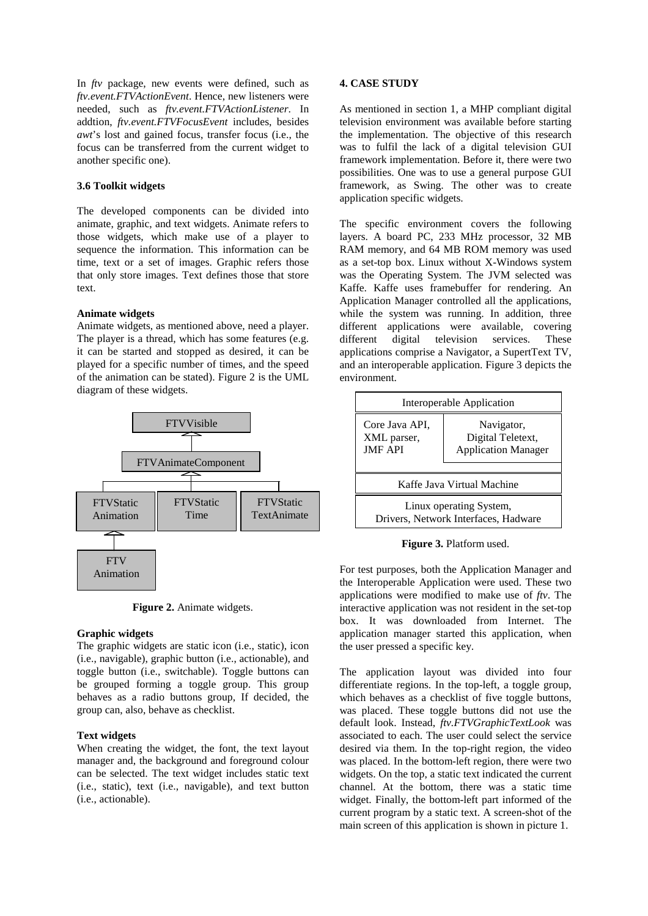In *ftv* package, new events were defined, such as *ftv.event.FTVActionEvent*. Hence, new listeners were needed, such as *ftv.event.FTVActionListener*. In addtion, *ftv.event.FTVFocusEvent* includes, besides *awt*'s lost and gained focus, transfer focus (i.e., the focus can be transferred from the current widget to another specific one).

# **3.6 Toolkit widgets**

The developed components can be divided into animate, graphic, and text widgets. Animate refers to those widgets, which make use of a player to sequence the information. This information can be time, text or a set of images. Graphic refers those that only store images. Text defines those that store text.

# **Animate widgets**

Animate widgets, as mentioned above, need a player. The player is a thread, which has some features (e.g. it can be started and stopped as desired, it can be played for a specific number of times, and the speed of the animation can be stated). Figure 2 is the UML diagram of these widgets.



**Figure 2.** Animate widgets.

#### **Graphic widgets**

The graphic widgets are static icon (i.e., static), icon (i.e., navigable), graphic button (i.e., actionable), and toggle button (i.e., switchable). Toggle buttons can be grouped forming a toggle group. This group behaves as a radio buttons group, If decided, the group can, also, behave as checklist.

# **Text widgets**

When creating the widget, the font, the text layout manager and, the background and foreground colour can be selected. The text widget includes static text (i.e., static), text (i.e., navigable), and text button (i.e., actionable).

#### **4. CASE STUDY**

As mentioned in section 1, a MHP compliant digital television environment was available before starting the implementation. The objective of this research was to fulfil the lack of a digital television GUI framework implementation. Before it, there were two possibilities. One was to use a general purpose GUI framework, as Swing. The other was to create application specific widgets.

The specific environment covers the following layers. A board PC, 233 MHz processor, 32 MB RAM memory, and 64 MB ROM memory was used as a set-top box. Linux without X-Windows system was the Operating System. The JVM selected was Kaffe. Kaffe uses framebuffer for rendering. An Application Manager controlled all the applications, while the system was running. In addition, three different applications were available, covering different digital television services. These applications comprise a Navigator, a SupertText TV, and an interoperable application. Figure 3 depicts the environment.



**Figure 3.** Platform used.

For test purposes, both the Application Manager and the Interoperable Application were used. These two applications were modified to make use of *ftv*. The interactive application was not resident in the set-top box. It was downloaded from Internet. The application manager started this application, when the user pressed a specific key.

The application layout was divided into four differentiate regions. In the top-left, a toggle group, which behaves as a checklist of five toggle buttons, was placed. These toggle buttons did not use the default look. Instead, *ftv.FTVGraphicTextLook* was associated to each. The user could select the service desired via them. In the top-right region, the video was placed. In the bottom-left region, there were two widgets. On the top, a static text indicated the current channel. At the bottom, there was a static time widget. Finally, the bottom-left part informed of the current program by a static text. A screen-shot of the main screen of this application is shown in picture 1.